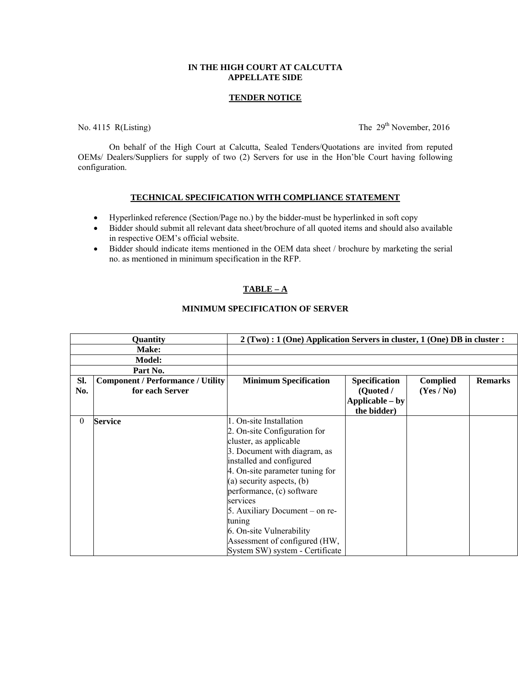### **IN THE HIGH COURT AT CALCUTTA APPELLATE SIDE**

#### **TENDER NOTICE**

No. 4115 R(Listing) The  $29<sup>th</sup>$  November, 2016

 On behalf of the High Court at Calcutta, Sealed Tenders/Quotations are invited from reputed OEMs/ Dealers/Suppliers for supply of two (2) Servers for use in the Hon'ble Court having following configuration.

#### **TECHNICAL SPECIFICATION WITH COMPLIANCE STATEMENT**

- Hyperlinked reference (Section/Page no.) by the bidder-must be hyperlinked in soft copy
- Bidder should submit all relevant data sheet/brochure of all quoted items and should also available in respective OEM's official website.
- Bidder should indicate items mentioned in the OEM data sheet / brochure by marketing the serial no. as mentioned in minimum specification in the RFP.

# **TABLE – A**

#### **MINIMUM SPECIFICATION OF SERVER**

| Quantity |                                          | $2(Two): 1 (One) Application Servers in cluster, 1 (One) DB in cluster:$ |                      |                 |                |
|----------|------------------------------------------|--------------------------------------------------------------------------|----------------------|-----------------|----------------|
| Make:    |                                          |                                                                          |                      |                 |                |
|          | <b>Model:</b>                            |                                                                          |                      |                 |                |
|          | Part No.                                 |                                                                          |                      |                 |                |
| Sl.      | <b>Component / Performance / Utility</b> | <b>Minimum Specification</b>                                             | <b>Specification</b> | <b>Complied</b> | <b>Remarks</b> |
| No.      | for each Server                          |                                                                          | (Quoted /            | (Yes/No)        |                |
|          |                                          |                                                                          | Applicable – by      |                 |                |
|          |                                          |                                                                          | the bidder)          |                 |                |
| 0        | <b>Service</b>                           | . On-site Installation                                                   |                      |                 |                |
|          |                                          | 2. On-site Configuration for                                             |                      |                 |                |
|          |                                          | cluster, as applicable                                                   |                      |                 |                |
|          |                                          | 3. Document with diagram, as                                             |                      |                 |                |
|          |                                          | installed and configured                                                 |                      |                 |                |
|          |                                          | 4. On-site parameter tuning for                                          |                      |                 |                |
|          |                                          | (a) security aspects, (b)                                                |                      |                 |                |
|          |                                          | performance, (c) software                                                |                      |                 |                |
|          |                                          | services                                                                 |                      |                 |                |
|          |                                          | 5. Auxiliary Document – on re-                                           |                      |                 |                |
|          |                                          | tuning                                                                   |                      |                 |                |
|          |                                          | 6. On-site Vulnerability                                                 |                      |                 |                |
|          |                                          | Assessment of configured (HW,                                            |                      |                 |                |
|          |                                          | System SW) system - Certificate                                          |                      |                 |                |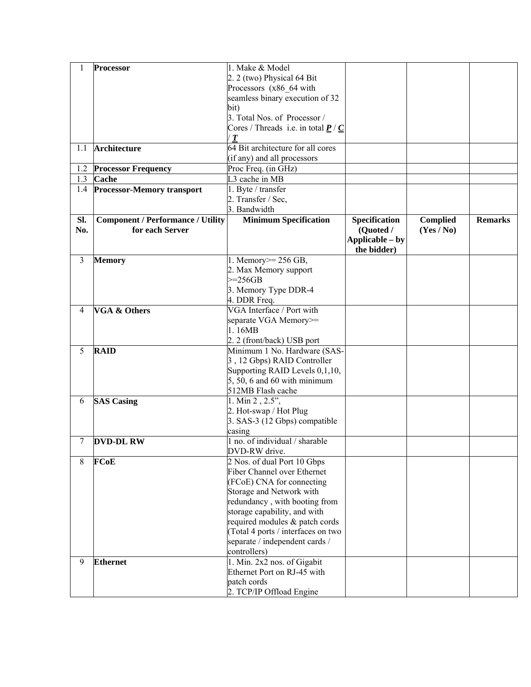|     | <b>Processor</b>                         | 1. Make & Model                                                 |                 |                 |                |
|-----|------------------------------------------|-----------------------------------------------------------------|-----------------|-----------------|----------------|
|     |                                          | 2. 2 (two) Physical 64 Bit                                      |                 |                 |                |
|     |                                          | Processors (x86 64 with                                         |                 |                 |                |
|     |                                          | seamless binary execution of 32                                 |                 |                 |                |
|     |                                          | bit)                                                            |                 |                 |                |
|     |                                          | 3. Total Nos. of Processor /                                    |                 |                 |                |
|     |                                          |                                                                 |                 |                 |                |
|     |                                          | Cores / Threads i.e. in total $\underline{P}$ / $\underline{C}$ |                 |                 |                |
|     |                                          | T                                                               |                 |                 |                |
| 1.1 | Architecture                             | 64 Bit architecture for all cores                               |                 |                 |                |
|     |                                          | (if any) and all processors                                     |                 |                 |                |
| 1.2 | <b>Processor Frequency</b>               | Proc Freq. (in GHz)                                             |                 |                 |                |
| 1.3 | Cache                                    | L3 cache in MB                                                  |                 |                 |                |
| 1.4 | <b>Processor-Memory transport</b>        | 1. Byte / transfer                                              |                 |                 |                |
|     |                                          | 2. Transfer / Sec,                                              |                 |                 |                |
|     |                                          | 3. Bandwidth                                                    |                 |                 |                |
| Sl. | <b>Component / Performance / Utility</b> | <b>Minimum Specification</b>                                    | Specification   | <b>Complied</b> | <b>Remarks</b> |
| No. | for each Server                          |                                                                 | (Quoted /       | (Yes / No)      |                |
|     |                                          |                                                                 | Applicable – by |                 |                |
|     |                                          |                                                                 | the bidder)     |                 |                |
| 3   | <b>Memory</b>                            | 1. Memory $>= 256$ GB,                                          |                 |                 |                |
|     |                                          | 2. Max Memory support                                           |                 |                 |                |
|     |                                          | $>=256GB$                                                       |                 |                 |                |
|     |                                          | 3. Memory Type DDR-4                                            |                 |                 |                |
|     |                                          | 4. DDR Freq.                                                    |                 |                 |                |
| 4   | <b>VGA &amp; Others</b>                  | VGA Interface / Port with                                       |                 |                 |                |
|     |                                          | separate VGA Memory>=                                           |                 |                 |                |
|     |                                          | 1.16MB                                                          |                 |                 |                |
|     |                                          | 2. 2 (front/back) USB port                                      |                 |                 |                |
| 5   | <b>RAID</b>                              | Minimum 1 No. Hardware (SAS-                                    |                 |                 |                |
|     |                                          | 3, 12 Gbps) RAID Controller                                     |                 |                 |                |
|     |                                          | Supporting RAID Levels 0,1,10,                                  |                 |                 |                |
|     |                                          | $5, 50, 6$ and $60$ with minimum                                |                 |                 |                |
|     |                                          | 512MB Flash cache                                               |                 |                 |                |
| 6   | <b>SAS Casing</b>                        | 1. Min 2, 2.5",                                                 |                 |                 |                |
|     |                                          | 2. Hot-swap / Hot Plug                                          |                 |                 |                |
|     |                                          | 3. SAS-3 (12 Gbps) compatible                                   |                 |                 |                |
|     |                                          | casing                                                          |                 |                 |                |
| 7   | <b>DVD-DL RW</b>                         | 1 no. of individual / sharable                                  |                 |                 |                |
|     |                                          | DVD-RW drive.                                                   |                 |                 |                |
| 8   | <b>FCoE</b>                              | 2 Nos. of dual Port 10 Gbps                                     |                 |                 |                |
|     |                                          | Fiber Channel over Ethernet                                     |                 |                 |                |
|     |                                          | (FCoE) CNA for connecting                                       |                 |                 |                |
|     |                                          | Storage and Network with                                        |                 |                 |                |
|     |                                          | redundancy, with booting from                                   |                 |                 |                |
|     |                                          | storage capability, and with                                    |                 |                 |                |
|     |                                          | required modules & patch cords                                  |                 |                 |                |
|     |                                          | (Total 4 ports / interfaces on two                              |                 |                 |                |
|     |                                          | separate / independent cards /                                  |                 |                 |                |
|     |                                          | controllers)                                                    |                 |                 |                |
| 9   | <b>Ethernet</b>                          | 1. Min. 2x2 nos. of Gigabit                                     |                 |                 |                |
|     |                                          | Ethernet Port on RJ-45 with                                     |                 |                 |                |
|     |                                          | patch cords                                                     |                 |                 |                |
|     |                                          | 2. TCP/IP Offload Engine                                        |                 |                 |                |
|     |                                          |                                                                 |                 |                 |                |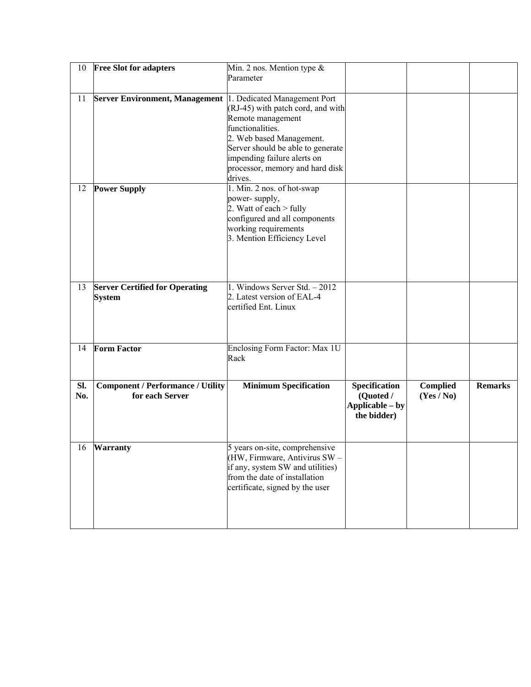| 10  | <b>Free Slot for adapters</b>            | Min. 2 nos. Mention type $\&$                                   |                 |                 |                |
|-----|------------------------------------------|-----------------------------------------------------------------|-----------------|-----------------|----------------|
|     |                                          | Parameter                                                       |                 |                 |                |
| 11  | <b>Server Environment, Management</b>    | 1. Dedicated Management Port                                    |                 |                 |                |
|     |                                          | (RJ-45) with patch cord, and with                               |                 |                 |                |
|     |                                          | Remote management                                               |                 |                 |                |
|     |                                          | functionalities.                                                |                 |                 |                |
|     |                                          | 2. Web based Management.                                        |                 |                 |                |
|     |                                          | Server should be able to generate                               |                 |                 |                |
|     |                                          | impending failure alerts on                                     |                 |                 |                |
|     |                                          | processor, memory and hard disk                                 |                 |                 |                |
|     |                                          | drives.                                                         |                 |                 |                |
| 12  | <b>Power Supply</b>                      | 1. Min. 2 nos. of hot-swap                                      |                 |                 |                |
|     |                                          | power-supply,<br>2. Watt of each $>$ fully                      |                 |                 |                |
|     |                                          | configured and all components                                   |                 |                 |                |
|     |                                          | working requirements                                            |                 |                 |                |
|     |                                          | 3. Mention Efficiency Level                                     |                 |                 |                |
|     |                                          |                                                                 |                 |                 |                |
|     |                                          |                                                                 |                 |                 |                |
|     |                                          |                                                                 |                 |                 |                |
|     |                                          |                                                                 |                 |                 |                |
| 13  | <b>Server Certified for Operating</b>    | 1. Windows Server Std. - 2012<br>2. Latest version of EAL-4     |                 |                 |                |
|     | <b>System</b>                            | certified Ent. Linux                                            |                 |                 |                |
|     |                                          |                                                                 |                 |                 |                |
|     |                                          |                                                                 |                 |                 |                |
|     |                                          |                                                                 |                 |                 |                |
| 14  | <b>Form Factor</b>                       | Enclosing Form Factor: Max 1U                                   |                 |                 |                |
|     |                                          | Rack                                                            |                 |                 |                |
|     |                                          |                                                                 |                 |                 |                |
| Sl. | <b>Component / Performance / Utility</b> | <b>Minimum Specification</b>                                    | Specification   | <b>Complied</b> | <b>Remarks</b> |
| No. | for each Server                          |                                                                 | (Quoted /       | (Yes / No)      |                |
|     |                                          |                                                                 | Applicable – by |                 |                |
|     |                                          |                                                                 | the bidder)     |                 |                |
|     |                                          |                                                                 |                 |                 |                |
|     |                                          |                                                                 |                 |                 |                |
| 16  | <b>Warranty</b>                          | 5 years on-site, comprehensive<br>(HW, Firmware, Antivirus SW - |                 |                 |                |
|     |                                          | if any, system SW and utilities)                                |                 |                 |                |
|     |                                          | from the date of installation                                   |                 |                 |                |
|     |                                          | certificate, signed by the user                                 |                 |                 |                |
|     |                                          |                                                                 |                 |                 |                |
|     |                                          |                                                                 |                 |                 |                |
|     |                                          |                                                                 |                 |                 |                |
|     |                                          |                                                                 |                 |                 |                |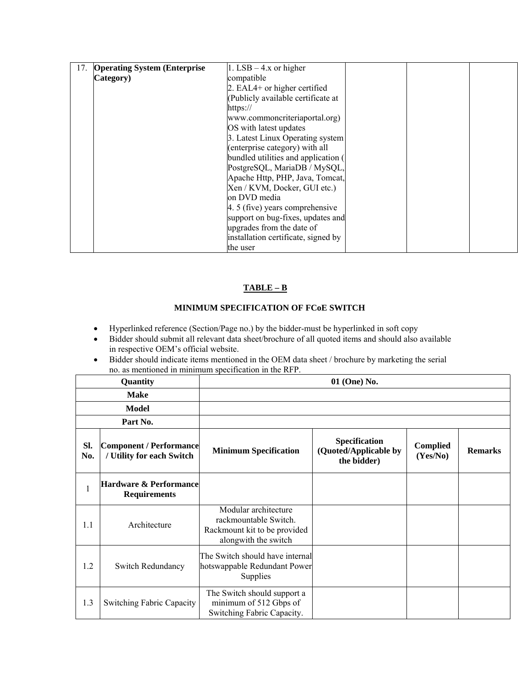| 17. | <b>Operating System (Enterprise)</b> | 1. LSB $-$ 4.x or higher            |  |  |
|-----|--------------------------------------|-------------------------------------|--|--|
|     | Category)                            | compatible                          |  |  |
|     |                                      | 2. EAL4+ or higher certified        |  |  |
|     |                                      | (Publicly available certificate at  |  |  |
|     |                                      | https://                            |  |  |
|     |                                      | www.commoncriteriaportal.org)       |  |  |
|     |                                      | OS with latest updates              |  |  |
|     |                                      | 3. Latest Linux Operating system    |  |  |
|     |                                      | (enterprise category) with all      |  |  |
|     |                                      | bundled utilities and application ( |  |  |
|     |                                      | PostgreSQL, MariaDB / MySQL,        |  |  |
|     |                                      | Apache Http, PHP, Java, Tomcat,     |  |  |
|     |                                      | Xen / KVM, Docker, GUI etc.)        |  |  |
|     |                                      | on DVD media                        |  |  |
|     |                                      | 4. 5 (five) years comprehensive     |  |  |
|     |                                      | support on bug-fixes, updates and   |  |  |
|     |                                      | upgrades from the date of           |  |  |
|     |                                      | installation certificate, signed by |  |  |
|     |                                      | the user                            |  |  |

# **TABLE – B**

# **MINIMUM SPECIFICATION OF FCoE SWITCH**

- Hyperlinked reference (Section/Page no.) by the bidder-must be hyperlinked in soft copy
- Bidder should submit all relevant data sheet/brochure of all quoted items and should also available in respective OEM's official website.
- Bidder should indicate items mentioned in the OEM data sheet / brochure by marketing the serial no. as mentioned in minimum specification in the RFP.

| Quantity   |                                                             | 01 (One) No.                                                                                          |                                                       |                      |                |  |
|------------|-------------------------------------------------------------|-------------------------------------------------------------------------------------------------------|-------------------------------------------------------|----------------------|----------------|--|
|            | <b>Make</b>                                                 |                                                                                                       |                                                       |                      |                |  |
|            | Model                                                       |                                                                                                       |                                                       |                      |                |  |
|            | Part No.                                                    |                                                                                                       |                                                       |                      |                |  |
| SI.<br>No. | <b>Component / Performance</b><br>/ Utility for each Switch | <b>Minimum Specification</b>                                                                          | Specification<br>(Quoted/Applicable by<br>the bidder) | Complied<br>(Yes/No) | <b>Remarks</b> |  |
| 1          | <b>Hardware &amp; Performance</b><br><b>Requirements</b>    |                                                                                                       |                                                       |                      |                |  |
| 1.1        | Architecture                                                | Modular architecture<br>rackmountable Switch.<br>Rackmount kit to be provided<br>alongwith the switch |                                                       |                      |                |  |
| 1.2        | <b>Switch Redundancy</b>                                    | The Switch should have internal<br>hotswappable Redundant Power<br>Supplies                           |                                                       |                      |                |  |
| 1.3        | <b>Switching Fabric Capacity</b>                            | The Switch should support a<br>minimum of 512 Gbps of<br>Switching Fabric Capacity.                   |                                                       |                      |                |  |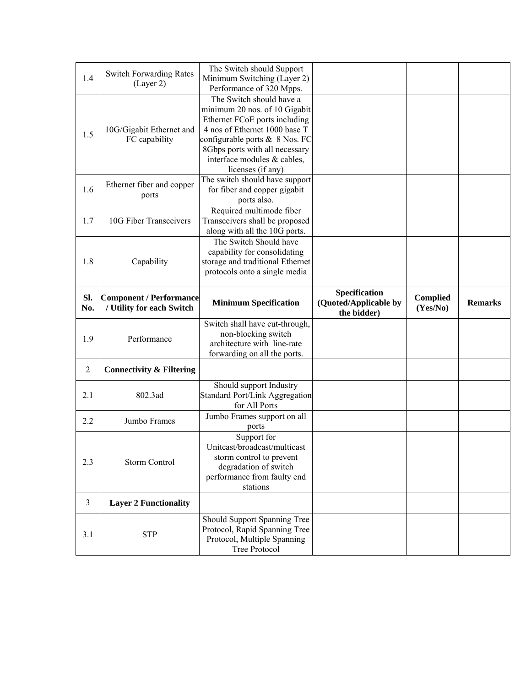| 1.4            | <b>Switch Forwarding Rates</b><br>(Layer 2)                 | The Switch should Support<br>Minimum Switching (Layer 2)<br>Performance of 320 Mpps.                                                                                                                                                                |                                        |                             |                |
|----------------|-------------------------------------------------------------|-----------------------------------------------------------------------------------------------------------------------------------------------------------------------------------------------------------------------------------------------------|----------------------------------------|-----------------------------|----------------|
| 1.5            | 10G/Gigabit Ethernet and<br>FC capability                   | The Switch should have a<br>minimum 20 nos. of 10 Gigabit<br>Ethernet FCoE ports including<br>4 nos of Ethernet 1000 base T<br>configurable ports & 8 Nos. FC<br>8Gbps ports with all necessary<br>interface modules & cables,<br>licenses (if any) |                                        |                             |                |
| 1.6            | Ethernet fiber and copper<br>ports                          | The switch should have support<br>for fiber and copper gigabit<br>ports also.                                                                                                                                                                       |                                        |                             |                |
| 1.7            | 10G Fiber Transceivers                                      | Required multimode fiber<br>Transceivers shall be proposed<br>along with all the 10G ports.                                                                                                                                                         |                                        |                             |                |
| 1.8            | Capability                                                  | The Switch Should have<br>capability for consolidating<br>storage and traditional Ethernet<br>protocols onto a single media                                                                                                                         |                                        |                             |                |
| SI.<br>No.     | <b>Component / Performance</b><br>/ Utility for each Switch | <b>Minimum Specification</b>                                                                                                                                                                                                                        | Specification<br>(Quoted/Applicable by | <b>Complied</b><br>(Yes/No) | <b>Remarks</b> |
|                |                                                             |                                                                                                                                                                                                                                                     | the bidder)                            |                             |                |
| 1.9            | Performance                                                 | Switch shall have cut-through,<br>non-blocking switch<br>architecture with line-rate<br>forwarding on all the ports.                                                                                                                                |                                        |                             |                |
| $\overline{2}$ | <b>Connectivity &amp; Filtering</b>                         |                                                                                                                                                                                                                                                     |                                        |                             |                |
| 2.1            | 802.3ad                                                     | Should support Industry<br><b>Standard Port/Link Aggregation</b><br>for All Ports                                                                                                                                                                   |                                        |                             |                |
| 2.2            | Jumbo Frames                                                | Jumbo Frames support on all                                                                                                                                                                                                                         |                                        |                             |                |
| 2.3            | <b>Storm Control</b>                                        | ports<br>Support for<br>Unitcast/broadcast/multicast<br>storm control to prevent<br>degradation of switch<br>performance from faulty end<br>stations                                                                                                |                                        |                             |                |
| $\mathfrak{Z}$ | <b>Layer 2 Functionality</b>                                |                                                                                                                                                                                                                                                     |                                        |                             |                |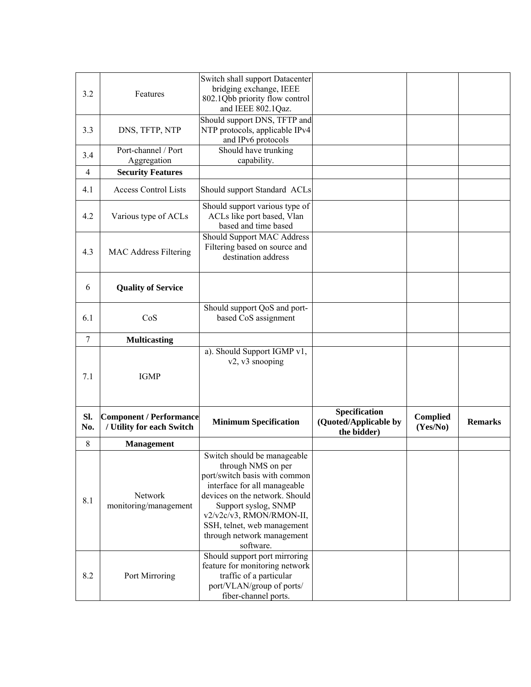| 3.2             | Features                                                    | Switch shall support Datacenter<br>bridging exchange, IEEE<br>802.1Qbb priority flow control<br>and IEEE 802.1Qaz.                                                                                                                                                                 |                                                       |                             |                |
|-----------------|-------------------------------------------------------------|------------------------------------------------------------------------------------------------------------------------------------------------------------------------------------------------------------------------------------------------------------------------------------|-------------------------------------------------------|-----------------------------|----------------|
| 3.3             | DNS, TFTP, NTP                                              | Should support DNS, TFTP and<br>NTP protocols, applicable IPv4<br>and IPv6 protocols                                                                                                                                                                                               |                                                       |                             |                |
| 3.4             | Port-channel / Port<br>Aggregation                          | Should have trunking<br>capability.                                                                                                                                                                                                                                                |                                                       |                             |                |
| $\overline{4}$  | <b>Security Features</b>                                    |                                                                                                                                                                                                                                                                                    |                                                       |                             |                |
| 4.1             | <b>Access Control Lists</b>                                 | Should support Standard ACLs                                                                                                                                                                                                                                                       |                                                       |                             |                |
| 4.2             | Various type of ACLs                                        | Should support various type of<br>ACLs like port based, Vlan<br>based and time based                                                                                                                                                                                               |                                                       |                             |                |
| 4.3             | MAC Address Filtering                                       | Should Support MAC Address<br>Filtering based on source and<br>destination address                                                                                                                                                                                                 |                                                       |                             |                |
| 6               | <b>Quality of Service</b>                                   |                                                                                                                                                                                                                                                                                    |                                                       |                             |                |
| 6.1             | CoS                                                         | Should support QoS and port-<br>based CoS assignment                                                                                                                                                                                                                               |                                                       |                             |                |
| $7\phantom{.0}$ | <b>Multicasting</b>                                         |                                                                                                                                                                                                                                                                                    |                                                       |                             |                |
| 7.1             | <b>IGMP</b>                                                 | a). Should Support IGMP v1,<br>v2, v3 snooping                                                                                                                                                                                                                                     |                                                       |                             |                |
| Sl.<br>No.      | <b>Component / Performance</b><br>/ Utility for each Switch | <b>Minimum Specification</b>                                                                                                                                                                                                                                                       | Specification<br>(Quoted/Applicable by<br>the bidder) | <b>Complied</b><br>(Yes/No) | <b>Remarks</b> |
| 8               | <b>Management</b>                                           |                                                                                                                                                                                                                                                                                    |                                                       |                             |                |
| 8.1             | Network<br>monitoring/management                            | Switch should be manageable<br>through NMS on per<br>port/switch basis with common<br>interface for all manageable<br>devices on the network. Should<br>Support syslog, SNMP<br>v2/v2c/v3, RMON/RMON-II,<br>SSH, telnet, web management<br>through network management<br>software. |                                                       |                             |                |
| 8.2             | Port Mirroring                                              | Should support port mirroring<br>feature for monitoring network<br>traffic of a particular<br>port/VLAN/group of ports/<br>fiber-channel ports.                                                                                                                                    |                                                       |                             |                |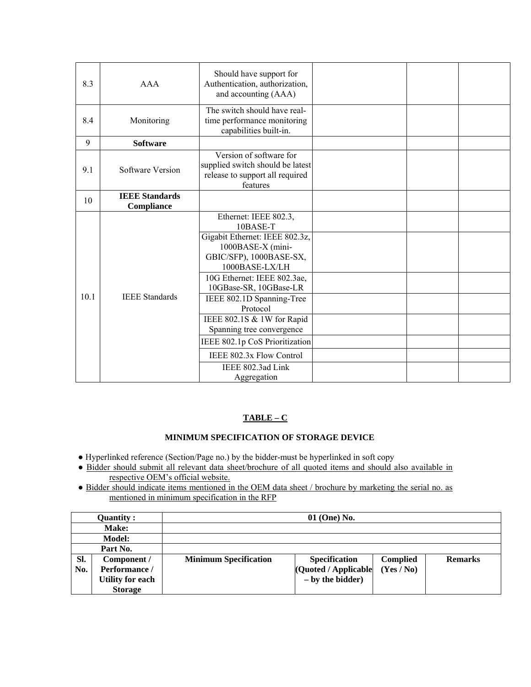| 8.3  | <b>AAA</b>                          | Should have support for<br>Authentication, authorization,<br>and accounting (AAA)                                                                                                                                                                                                                                                                                                     |  |  |
|------|-------------------------------------|---------------------------------------------------------------------------------------------------------------------------------------------------------------------------------------------------------------------------------------------------------------------------------------------------------------------------------------------------------------------------------------|--|--|
| 8.4  | Monitoring                          | The switch should have real-<br>time performance monitoring<br>capabilities built-in.                                                                                                                                                                                                                                                                                                 |  |  |
| 9    | <b>Software</b>                     |                                                                                                                                                                                                                                                                                                                                                                                       |  |  |
| 9.1  | Software Version                    | Version of software for<br>supplied switch should be latest<br>release to support all required<br>features                                                                                                                                                                                                                                                                            |  |  |
| 10   | <b>IEEE Standards</b><br>Compliance |                                                                                                                                                                                                                                                                                                                                                                                       |  |  |
| 10.1 | <b>IEEE</b> Standards               | Ethernet: IEEE 802.3,<br>10BASE-T<br>Gigabit Ethernet: IEEE 802.3z,<br>1000BASE-X (mini-<br>GBIC/SFP), 1000BASE-SX,<br>1000BASE-LX/LH<br>10G Ethernet: IEEE 802.3ae,<br>10GBase-SR, 10GBase-LR<br>IEEE 802.1D Spanning-Tree<br>Protocol<br>IEEE 802.1S & 1W for Rapid<br>Spanning tree convergence<br>IEEE 802.1p CoS Prioritization<br>IEEE 802.3x Flow Control<br>IEEE 802.3ad Link |  |  |
|      |                                     | Aggregation                                                                                                                                                                                                                                                                                                                                                                           |  |  |

### **TABLE – C**

# **MINIMUM SPECIFICATION OF STORAGE DEVICE**

- Hyperlinked reference (Section/Page no.) by the bidder-must be hyperlinked in soft copy
- Bidder should submit all relevant data sheet/brochure of all quoted items and should also available in respective OEM's official website.
- Bidder should indicate items mentioned in the OEM data sheet / brochure by marketing the serial no. as mentioned in minimum specification in the RFP

|     | Quantity :              |                              | $01$ (One) No.       |                 |                |
|-----|-------------------------|------------------------------|----------------------|-----------------|----------------|
|     | <b>Make:</b>            |                              |                      |                 |                |
|     | <b>Model:</b>           |                              |                      |                 |                |
|     | Part No.                |                              |                      |                 |                |
| SI. | Component /             | <b>Minimum Specification</b> | <b>Specification</b> | <b>Complied</b> | <b>Remarks</b> |
| No. | Performance /           |                              | (Quoted / Applicable | (Yes/No)        |                |
|     | <b>Utility for each</b> |                              | $-$ by the bidder)   |                 |                |
|     | <b>Storage</b>          |                              |                      |                 |                |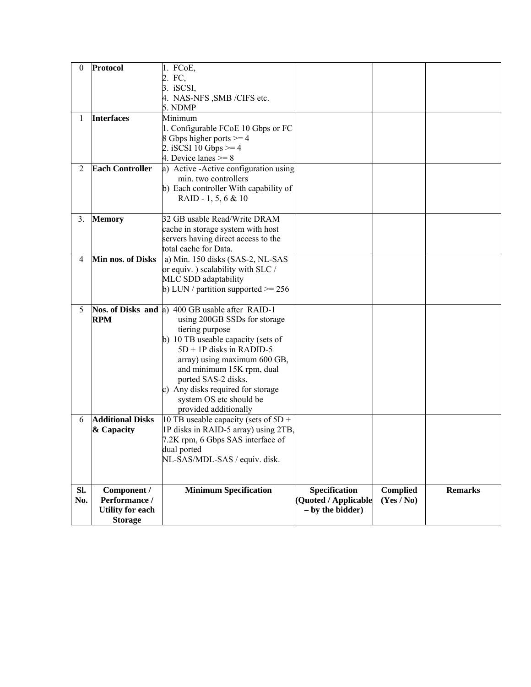| $\theta$     | Protocol                                                                  | 1. FCoE,<br>2. FC,<br>3. iSCSI,<br>4. NAS-NFS , SMB / CIFS etc.                                                                                                                                                                                                                                                                                     |                                                             |                               |                |
|--------------|---------------------------------------------------------------------------|-----------------------------------------------------------------------------------------------------------------------------------------------------------------------------------------------------------------------------------------------------------------------------------------------------------------------------------------------------|-------------------------------------------------------------|-------------------------------|----------------|
|              |                                                                           | 5. NDMP                                                                                                                                                                                                                                                                                                                                             |                                                             |                               |                |
| $\mathbf{I}$ | <b>Interfaces</b>                                                         | Minimum<br>1. Configurable FCoE 10 Gbps or FC<br>8 Gbps higher ports $>= 4$<br>2. iSCSI 10 Gbps $>= 4$<br>4. Device lanes $>= 8$                                                                                                                                                                                                                    |                                                             |                               |                |
| 2            | <b>Each Controller</b>                                                    | a) Active - Active configuration using<br>min. two controllers<br>b) Each controller With capability of<br>RAID - 1, 5, 6 & 10                                                                                                                                                                                                                      |                                                             |                               |                |
| 3.           | <b>Memory</b>                                                             | 32 GB usable Read/Write DRAM<br>cache in storage system with host<br>servers having direct access to the<br>total cache for Data.                                                                                                                                                                                                                   |                                                             |                               |                |
| 4            | Min nos. of Disks                                                         | a) Min. 150 disks (SAS-2, NL-SAS<br>or equiv.) scalability with SLC /<br>MLC SDD adaptability<br>b) LUN / partition supported $\ge$ 256                                                                                                                                                                                                             |                                                             |                               |                |
| 5            | <b>RPM</b>                                                                | Nos. of Disks and a) 400 GB usable after RAID-1<br>using 200GB SSDs for storage<br>tiering purpose<br>b) 10 TB useable capacity (sets of<br>$5D + 1P$ disks in RADID-5<br>array) using maximum 600 GB,<br>and minimum 15K rpm, dual<br>ported SAS-2 disks.<br>c) Any disks required for storage<br>system OS etc should be<br>provided additionally |                                                             |                               |                |
| 6            | <b>Additional Disks</b><br>& Capacity                                     | 10 TB useable capacity (sets of $5D +$<br>1P disks in RAID-5 array) using 2TB,<br>7.2K rpm, 6 Gbps SAS interface of<br>dual ported<br>NL-SAS/MDL-SAS / equiv. disk.                                                                                                                                                                                 |                                                             |                               |                |
| SI.<br>No.   | Component /<br>Performance /<br><b>Utility for each</b><br><b>Storage</b> | <b>Minimum Specification</b>                                                                                                                                                                                                                                                                                                                        | Specification<br>(Quoted / Applicable<br>$-$ by the bidder) | <b>Complied</b><br>(Yes / No) | <b>Remarks</b> |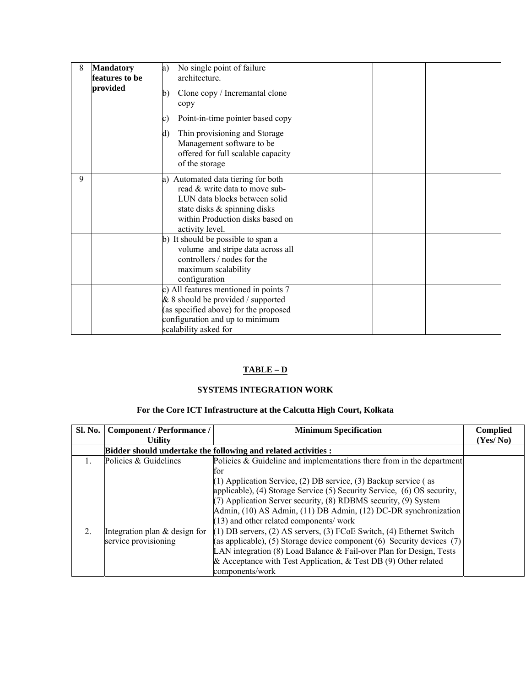| 8 | <b>Mandatory</b><br>features to be<br>provided | No single point of failure<br>a)<br>architecture.<br>Clone copy / Incremantal clone<br>b)<br>copy<br>Point-in-time pointer based copy<br>c)<br>Thin provisioning and Storage<br>d)<br>Management software to be<br>offered for full scalable capacity<br>of the storage |
|---|------------------------------------------------|-------------------------------------------------------------------------------------------------------------------------------------------------------------------------------------------------------------------------------------------------------------------------|
| 9 |                                                | a) Automated data tiering for both<br>read & write data to move sub-<br>LUN data blocks between solid<br>state disks & spinning disks<br>within Production disks based on<br>activity level.                                                                            |
|   |                                                | b) It should be possible to span a<br>volume and stripe data across all<br>controllers / nodes for the<br>maximum scalability<br>configuration                                                                                                                          |
|   |                                                | c) All features mentioned in points 7<br>& 8 should be provided / supported<br>(as specified above) for the proposed<br>configuration and up to minimum<br>scalability asked for                                                                                        |

# **TABLE – D**

# **SYSTEMS INTEGRATION WORK**

# **For the Core ICT Infrastructure at the Calcutta High Court, Kolkata**

| Sl. No.        | <b>Component / Performance /</b> | <b>Minimum Specification</b>                                                 | <b>Complied</b> |
|----------------|----------------------------------|------------------------------------------------------------------------------|-----------------|
|                | <b>Utility</b>                   |                                                                              |                 |
|                |                                  | Bidder should undertake the following and related activities :               |                 |
|                | Policies & Guidelines            | Policies $\&$ Guideline and implementations there from in the department     |                 |
|                |                                  | for                                                                          |                 |
|                |                                  | $(1)$ Application Service, $(2)$ DB service, $(3)$ Backup service (as        |                 |
|                |                                  | applicable), (4) Storage Service (5) Security Service, (6) OS security,      |                 |
|                |                                  | $(7)$ Application Server security, $(8)$ RDBMS security, $(9)$ System        |                 |
|                |                                  | Admin, (10) AS Admin, (11) DB Admin, (12) DC-DR synchronization              |                 |
|                |                                  | (13) and other related components/ work                                      |                 |
| $\overline{2}$ | Integration plan $&$ design for  | $(1)$ DB servers, $(2)$ AS servers, $(3)$ FCoE Switch, $(4)$ Ethernet Switch |                 |
|                | service provisioning             | (as applicable), (5) Storage device component (6) Security devices $(7)$     |                 |
|                |                                  | LAN integration $(8)$ Load Balance & Fail-over Plan for Design, Tests        |                 |
|                |                                  | & Acceptance with Test Application, $& Test DB(9) Other related$             |                 |
|                |                                  | components/work                                                              |                 |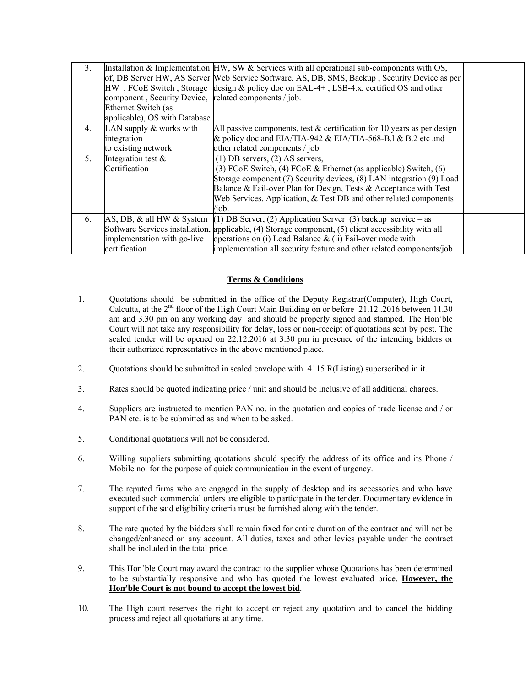| 3.      | component, Security Device, related components / job.<br>Ethernet Switch (as<br>applicable), OS with Database | Installation & Implementation $HW$ , SW & Services with all operational sub-components with OS,<br>of, DB Server HW, AS Server Web Service Software, AS, DB, SMS, Backup, Security Device as per<br>HW, FCoE Switch, Storage design & policy doc on EAL-4+, LSB-4.x, certified OS and other                                                |  |
|---------|---------------------------------------------------------------------------------------------------------------|--------------------------------------------------------------------------------------------------------------------------------------------------------------------------------------------------------------------------------------------------------------------------------------------------------------------------------------------|--|
| 4.      | LAN supply $&$ works with<br>integration<br>to existing network                                               | All passive components, test $&$ certification for 10 years as per design<br>& policy doc and EIA/TIA-942 & EIA/TIA-568-B.1 & B.2 etc and<br>other related components / job                                                                                                                                                                |  |
| $5_{-}$ | Integration test $\&$<br>Certification                                                                        | $(1)$ DB servers, $(2)$ AS servers,<br>(3) FCoE Switch, (4) FCoE $&$ Ethernet (as applicable) Switch, (6)<br>Storage component (7) Security devices, (8) LAN integration (9) Load<br>Balance & Fail-over Plan for Design, Tests & Acceptance with Test<br>Web Services, Application, & Test DB and other related components<br>/iob.       |  |
| 6.      | implementation with go-live<br>certification                                                                  | $[AS, DB, & all HW & System (1) DB Server, (2) Application Server (3) backup service - as$<br>Software Services installation, applicable, (4) Storage component, (5) client accessibility with all<br>operations on (i) Load Balance $\&$ (ii) Fail-over mode with<br>implementation all security feature and other related components/job |  |

### **Terms & Conditions**

- 1. Quotations should be submitted in the office of the Deputy Registrar(Computer), High Court, Calcutta, at the  $2<sup>nd</sup>$  floor of the High Court Main Building on or before 21.12..2016 between 11.30 am and 3.30 pm on any working day and should be properly signed and stamped. The Hon'ble Court will not take any responsibility for delay, loss or non-receipt of quotations sent by post. The sealed tender will be opened on 22.12.2016 at 3.30 pm in presence of the intending bidders or their authorized representatives in the above mentioned place.
- 2. Quotations should be submitted in sealed envelope with 4115 R(Listing) superscribed in it.
- 3. Rates should be quoted indicating price / unit and should be inclusive of all additional charges.
- 4. Suppliers are instructed to mention PAN no. in the quotation and copies of trade license and / or PAN etc. is to be submitted as and when to be asked.
- 5. Conditional quotations will not be considered.
- 6. Willing suppliers submitting quotations should specify the address of its office and its Phone / Mobile no. for the purpose of quick communication in the event of urgency.
- 7. The reputed firms who are engaged in the supply of desktop and its accessories and who have executed such commercial orders are eligible to participate in the tender. Documentary evidence in support of the said eligibility criteria must be furnished along with the tender.
- 8. The rate quoted by the bidders shall remain fixed for entire duration of the contract and will not be changed/enhanced on any account. All duties, taxes and other levies payable under the contract shall be included in the total price.
- 9. This Hon'ble Court may award the contract to the supplier whose Quotations has been determined to be substantially responsive and who has quoted the lowest evaluated price. **However, the Hon'ble Court is not bound to accept the lowest bid**.
- 10. The High court reserves the right to accept or reject any quotation and to cancel the bidding process and reject all quotations at any time.